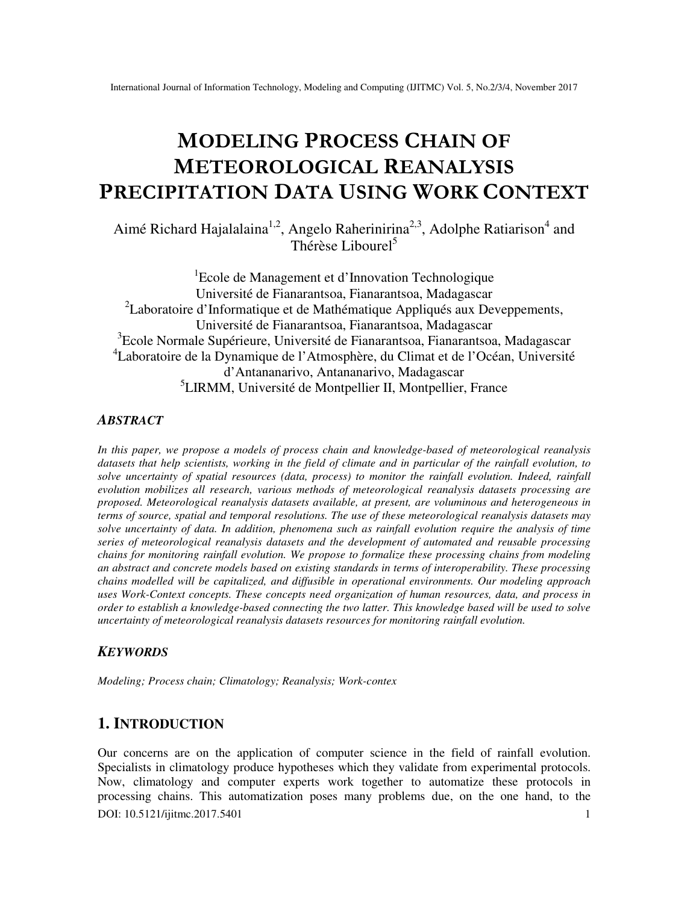# **MODELING PROCESS CHAIN OF METEOROLOGICAL REANALYSIS PRECIPITATION DATA USING WORK CONTEXT**

Aimé Richard Hajalalaina<sup>1,2</sup>, Angelo Raherinirina<sup>2,3</sup>, Adolphe Ratiarison<sup>4</sup> and Thérèse Liboure<sup>15</sup>

<sup>1</sup>Ecole de Management et d'Innovation Technologique Université de Fianarantsoa, Fianarantsoa, Madagascar <sup>2</sup>Laboratoire d'Informatique et de Mathématique Appliqués aux Deveppements, Université de Fianarantsoa, Fianarantsoa, Madagascar <sup>3</sup>Ecole Normale Supérieure, Université de Fianarantsoa, Fianarantsoa, Madagascar <sup>4</sup>Laboratoire de la Dynamique de l'Atmosphère, du Climat et de l'Océan, Université d'Antananarivo, Antananarivo, Madagascar 5 LIRMM, Université de Montpellier II, Montpellier, France

### *ABSTRACT*

*In this paper, we propose a models of process chain and knowledge-based of meteorological reanalysis datasets that help scientists, working in the field of climate and in particular of the rainfall evolution, to solve uncertainty of spatial resources (data, process) to monitor the rainfall evolution. Indeed, rainfall evolution mobilizes all research, various methods of meteorological reanalysis datasets processing are proposed. Meteorological reanalysis datasets available, at present, are voluminous and heterogeneous in terms of source, spatial and temporal resolutions. The use of these meteorological reanalysis datasets may solve uncertainty of data. In addition, phenomena such as rainfall evolution require the analysis of time series of meteorological reanalysis datasets and the development of automated and reusable processing chains for monitoring rainfall evolution. We propose to formalize these processing chains from modeling an abstract and concrete models based on existing standards in terms of interoperability. These processing chains modelled will be capitalized, and diffusible in operational environments. Our modeling approach uses Work-Context concepts. These concepts need organization of human resources, data, and process in order to establish a knowledge-based connecting the two latter. This knowledge based will be used to solve uncertainty of meteorological reanalysis datasets resources for monitoring rainfall evolution.* 

## *KEYWORDS*

*Modeling; Process chain; Climatology; Reanalysis; Work-contex* 

# **1. INTRODUCTION**

DOI: 10.5121/ijitmc.2017.5401 1 Our concerns are on the application of computer science in the field of rainfall evolution. Specialists in climatology produce hypotheses which they validate from experimental protocols. Now, climatology and computer experts work together to automatize these protocols in processing chains. This automatization poses many problems due, on the one hand, to the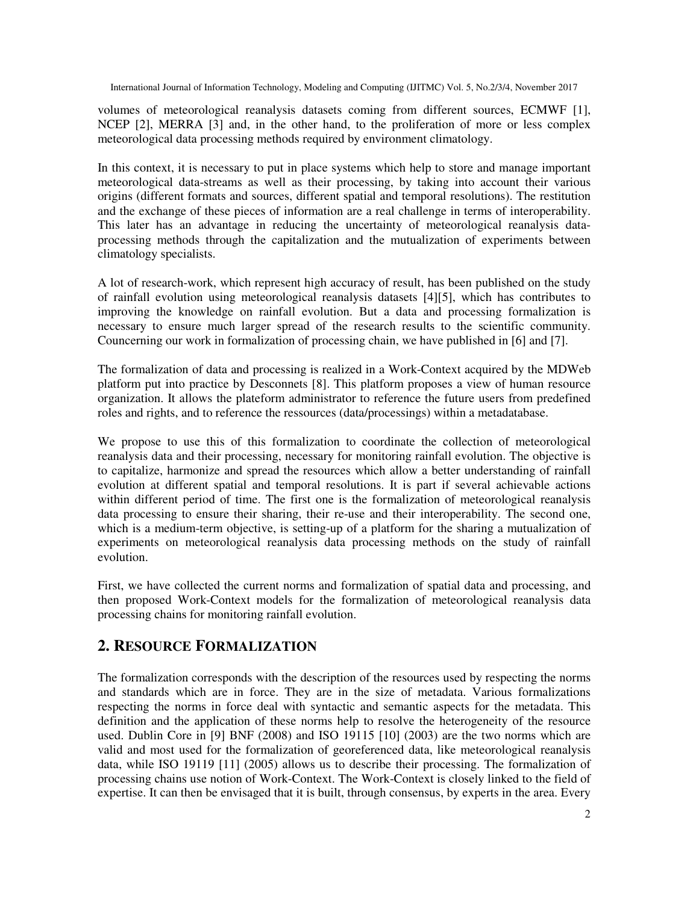volumes of meteorological reanalysis datasets coming from different sources, ECMWF [1], NCEP [2], MERRA [3] and, in the other hand, to the proliferation of more or less complex meteorological data processing methods required by environment climatology.

In this context, it is necessary to put in place systems which help to store and manage important meteorological data-streams as well as their processing, by taking into account their various origins (different formats and sources, different spatial and temporal resolutions). The restitution and the exchange of these pieces of information are a real challenge in terms of interoperability. This later has an advantage in reducing the uncertainty of meteorological reanalysis dataprocessing methods through the capitalization and the mutualization of experiments between climatology specialists.

A lot of research-work, which represent high accuracy of result, has been published on the study of rainfall evolution using meteorological reanalysis datasets [4][5], which has contributes to improving the knowledge on rainfall evolution. But a data and processing formalization is necessary to ensure much larger spread of the research results to the scientific community. Councerning our work in formalization of processing chain, we have published in [6] and [7].

The formalization of data and processing is realized in a Work-Context acquired by the MDWeb platform put into practice by Desconnets [8]. This platform proposes a view of human resource organization. It allows the plateform administrator to reference the future users from predefined roles and rights, and to reference the ressources (data/processings) within a metadatabase.

We propose to use this of this formalization to coordinate the collection of meteorological reanalysis data and their processing, necessary for monitoring rainfall evolution. The objective is to capitalize, harmonize and spread the resources which allow a better understanding of rainfall evolution at different spatial and temporal resolutions. It is part if several achievable actions within different period of time. The first one is the formalization of meteorological reanalysis data processing to ensure their sharing, their re-use and their interoperability. The second one, which is a medium-term objective, is setting-up of a platform for the sharing a mutualization of experiments on meteorological reanalysis data processing methods on the study of rainfall evolution.

First, we have collected the current norms and formalization of spatial data and processing, and then proposed Work-Context models for the formalization of meteorological reanalysis data processing chains for monitoring rainfall evolution.

# **2. RESOURCE FORMALIZATION**

The formalization corresponds with the description of the resources used by respecting the norms and standards which are in force. They are in the size of metadata. Various formalizations respecting the norms in force deal with syntactic and semantic aspects for the metadata. This definition and the application of these norms help to resolve the heterogeneity of the resource used. Dublin Core in [9] BNF (2008) and ISO 19115 [10] (2003) are the two norms which are valid and most used for the formalization of georeferenced data, like meteorological reanalysis data, while ISO 19119 [11] (2005) allows us to describe their processing. The formalization of processing chains use notion of Work-Context. The Work-Context is closely linked to the field of expertise. It can then be envisaged that it is built, through consensus, by experts in the area. Every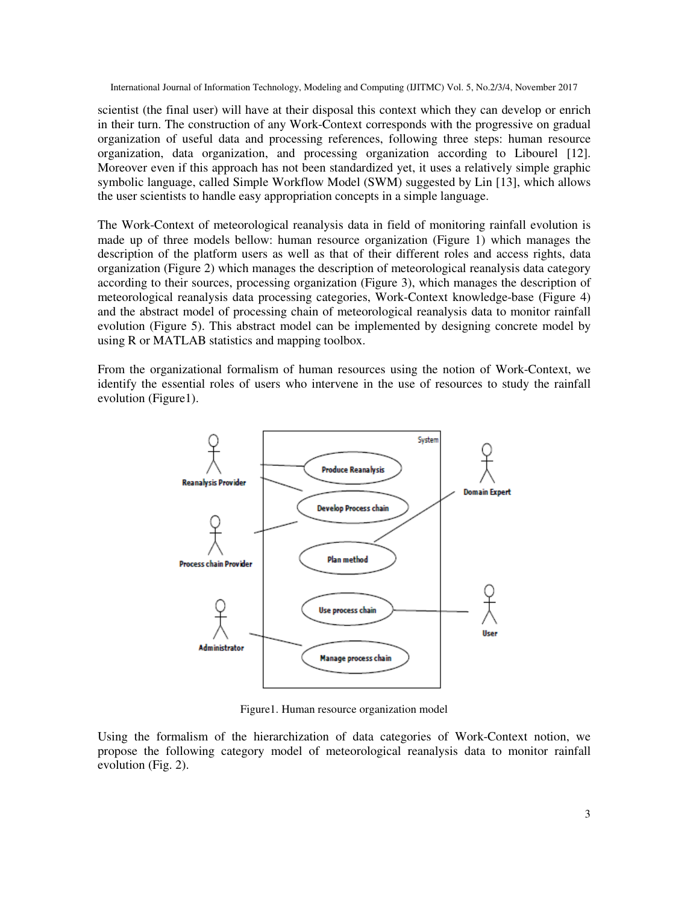scientist (the final user) will have at their disposal this context which they can develop or enrich in their turn. The construction of any Work-Context corresponds with the progressive on gradual organization of useful data and processing references, following three steps: human resource organization, data organization, and processing organization according to Libourel [12]. Moreover even if this approach has not been standardized yet, it uses a relatively simple graphic symbolic language, called Simple Workflow Model (SWM) suggested by Lin [13], which allows the user scientists to handle easy appropriation concepts in a simple language.

The Work-Context of meteorological reanalysis data in field of monitoring rainfall evolution is made up of three models bellow: human resource organization (Figure 1) which manages the description of the platform users as well as that of their different roles and access rights, data organization (Figure 2) which manages the description of meteorological reanalysis data category according to their sources, processing organization (Figure 3), which manages the description of meteorological reanalysis data processing categories, Work-Context knowledge-base (Figure 4) and the abstract model of processing chain of meteorological reanalysis data to monitor rainfall evolution (Figure 5). This abstract model can be implemented by designing concrete model by using R or MATLAB statistics and mapping toolbox.

From the organizational formalism of human resources using the notion of Work-Context, we identify the essential roles of users who intervene in the use of resources to study the rainfall evolution (Figure1).



Figure1. Human resource organization model

Using the formalism of the hierarchization of data categories of Work-Context notion, we propose the following category model of meteorological reanalysis data to monitor rainfall evolution (Fig. 2).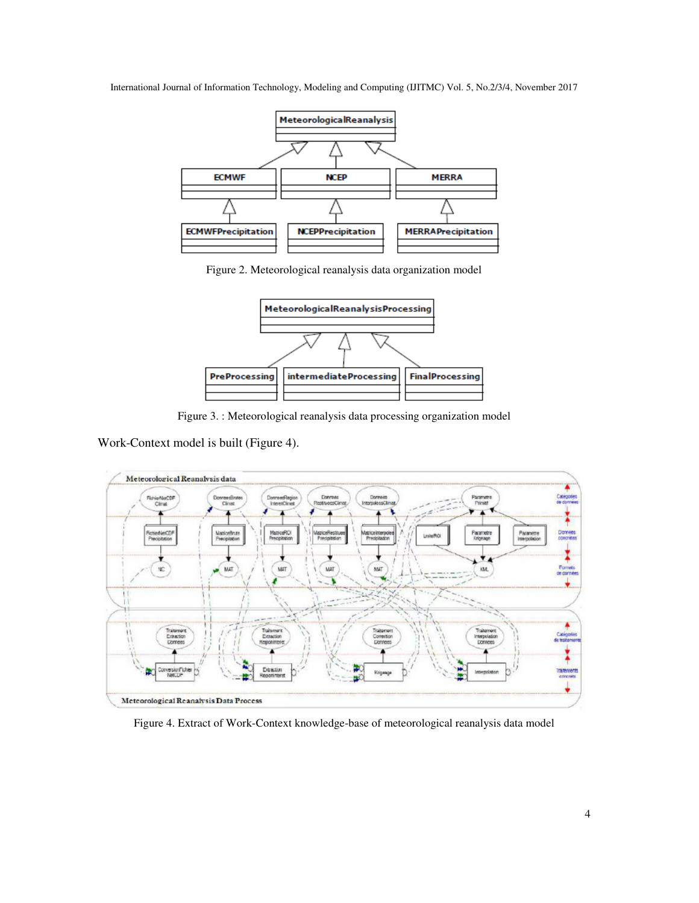

Figure 2. Meteorological reanalysis data organization model



Figure 3. : Meteorological reanalysis data processing organization model

Work-Context model is built (Figure 4).



Figure 4. Extract of Work-Context knowledge-base of meteorological reanalysis data model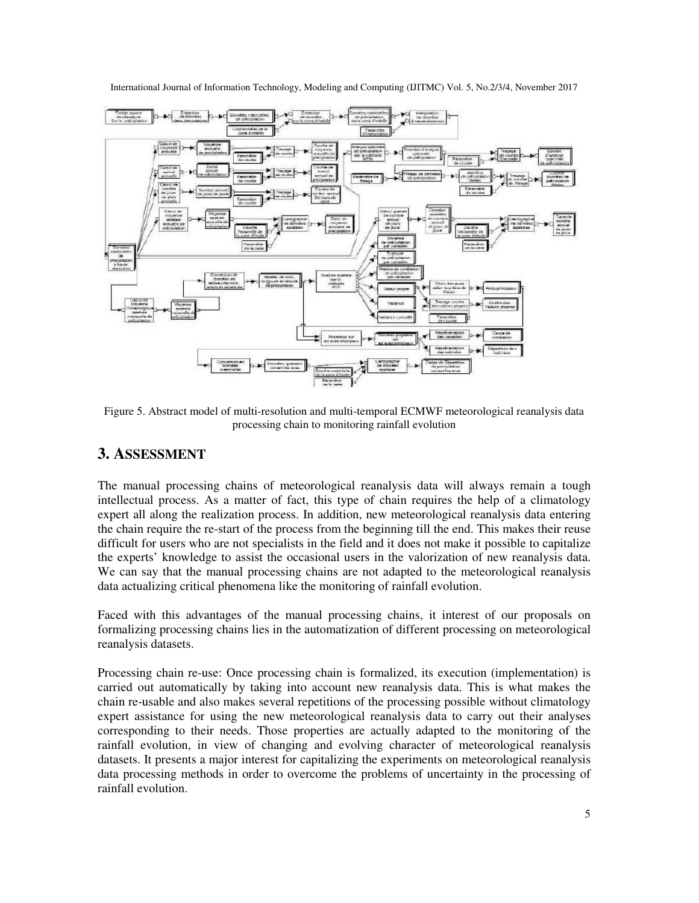

Figure 5. Abstract model of multi-resolution and multi-temporal ECMWF meteorological reanalysis data processing chain to monitoring rainfall evolution

## **3. ASSESSMENT**

The manual processing chains of meteorological reanalysis data will always remain a tough intellectual process. As a matter of fact, this type of chain requires the help of a climatology expert all along the realization process. In addition, new meteorological reanalysis data entering the chain require the re-start of the process from the beginning till the end. This makes their reuse difficult for users who are not specialists in the field and it does not make it possible to capitalize the experts' knowledge to assist the occasional users in the valorization of new reanalysis data. We can say that the manual processing chains are not adapted to the meteorological reanalysis data actualizing critical phenomena like the monitoring of rainfall evolution.

Faced with this advantages of the manual processing chains, it interest of our proposals on formalizing processing chains lies in the automatization of different processing on meteorological reanalysis datasets.

Processing chain re-use: Once processing chain is formalized, its execution (implementation) is carried out automatically by taking into account new reanalysis data. This is what makes the chain re-usable and also makes several repetitions of the processing possible without climatology expert assistance for using the new meteorological reanalysis data to carry out their analyses corresponding to their needs. Those properties are actually adapted to the monitoring of the rainfall evolution, in view of changing and evolving character of meteorological reanalysis datasets. It presents a major interest for capitalizing the experiments on meteorological reanalysis data processing methods in order to overcome the problems of uncertainty in the processing of rainfall evolution.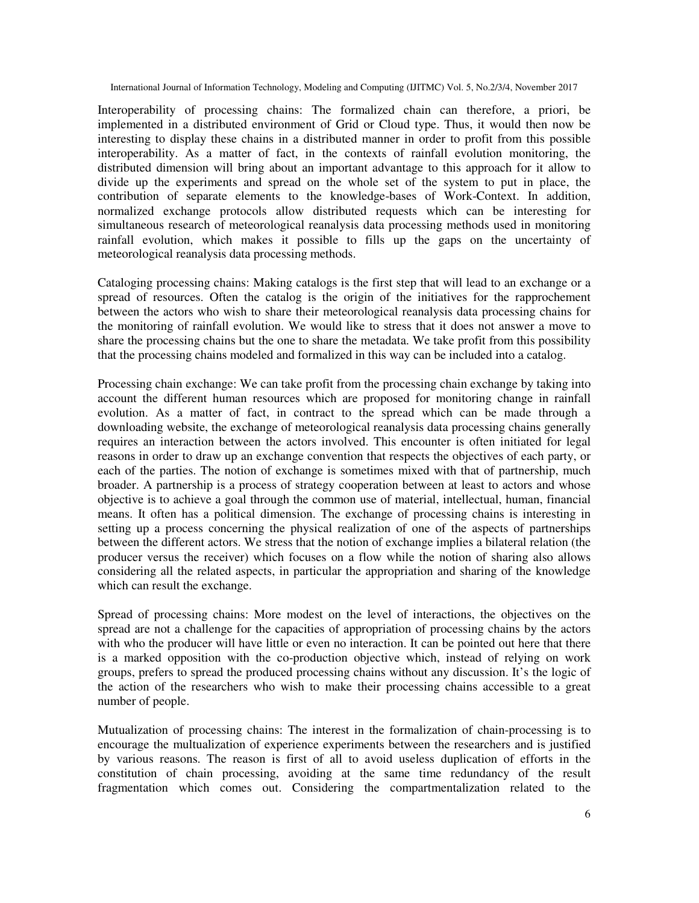Interoperability of processing chains: The formalized chain can therefore, a priori, be implemented in a distributed environment of Grid or Cloud type. Thus, it would then now be interesting to display these chains in a distributed manner in order to profit from this possible interoperability. As a matter of fact, in the contexts of rainfall evolution monitoring, the distributed dimension will bring about an important advantage to this approach for it allow to divide up the experiments and spread on the whole set of the system to put in place, the contribution of separate elements to the knowledge-bases of Work-Context. In addition, normalized exchange protocols allow distributed requests which can be interesting for simultaneous research of meteorological reanalysis data processing methods used in monitoring rainfall evolution, which makes it possible to fills up the gaps on the uncertainty of meteorological reanalysis data processing methods.

Cataloging processing chains: Making catalogs is the first step that will lead to an exchange or a spread of resources. Often the catalog is the origin of the initiatives for the rapprochement between the actors who wish to share their meteorological reanalysis data processing chains for the monitoring of rainfall evolution. We would like to stress that it does not answer a move to share the processing chains but the one to share the metadata. We take profit from this possibility that the processing chains modeled and formalized in this way can be included into a catalog.

Processing chain exchange: We can take profit from the processing chain exchange by taking into account the different human resources which are proposed for monitoring change in rainfall evolution. As a matter of fact, in contract to the spread which can be made through a downloading website, the exchange of meteorological reanalysis data processing chains generally requires an interaction between the actors involved. This encounter is often initiated for legal reasons in order to draw up an exchange convention that respects the objectives of each party, or each of the parties. The notion of exchange is sometimes mixed with that of partnership, much broader. A partnership is a process of strategy cooperation between at least to actors and whose objective is to achieve a goal through the common use of material, intellectual, human, financial means. It often has a political dimension. The exchange of processing chains is interesting in setting up a process concerning the physical realization of one of the aspects of partnerships between the different actors. We stress that the notion of exchange implies a bilateral relation (the producer versus the receiver) which focuses on a flow while the notion of sharing also allows considering all the related aspects, in particular the appropriation and sharing of the knowledge which can result the exchange.

Spread of processing chains: More modest on the level of interactions, the objectives on the spread are not a challenge for the capacities of appropriation of processing chains by the actors with who the producer will have little or even no interaction. It can be pointed out here that there is a marked opposition with the co-production objective which, instead of relying on work groups, prefers to spread the produced processing chains without any discussion. It's the logic of the action of the researchers who wish to make their processing chains accessible to a great number of people.

Mutualization of processing chains: The interest in the formalization of chain-processing is to encourage the multualization of experience experiments between the researchers and is justified by various reasons. The reason is first of all to avoid useless duplication of efforts in the constitution of chain processing, avoiding at the same time redundancy of the result fragmentation which comes out. Considering the compartmentalization related to the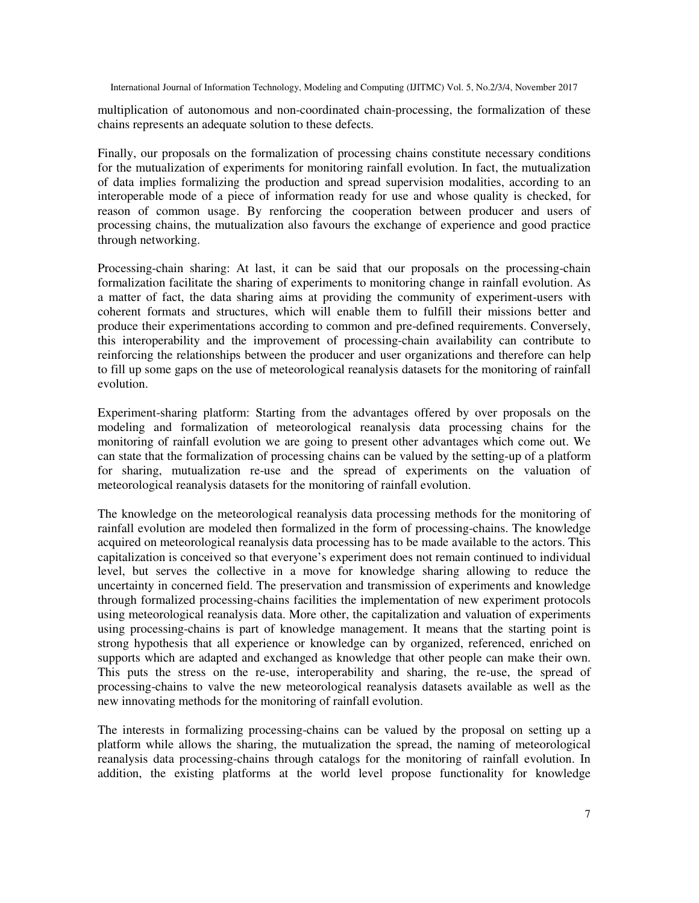multiplication of autonomous and non-coordinated chain-processing, the formalization of these chains represents an adequate solution to these defects.

Finally, our proposals on the formalization of processing chains constitute necessary conditions for the mutualization of experiments for monitoring rainfall evolution. In fact, the mutualization of data implies formalizing the production and spread supervision modalities, according to an interoperable mode of a piece of information ready for use and whose quality is checked, for reason of common usage. By renforcing the cooperation between producer and users of processing chains, the mutualization also favours the exchange of experience and good practice through networking.

Processing-chain sharing: At last, it can be said that our proposals on the processing-chain formalization facilitate the sharing of experiments to monitoring change in rainfall evolution. As a matter of fact, the data sharing aims at providing the community of experiment-users with coherent formats and structures, which will enable them to fulfill their missions better and produce their experimentations according to common and pre-defined requirements. Conversely, this interoperability and the improvement of processing-chain availability can contribute to reinforcing the relationships between the producer and user organizations and therefore can help to fill up some gaps on the use of meteorological reanalysis datasets for the monitoring of rainfall evolution.

Experiment-sharing platform: Starting from the advantages offered by over proposals on the modeling and formalization of meteorological reanalysis data processing chains for the monitoring of rainfall evolution we are going to present other advantages which come out. We can state that the formalization of processing chains can be valued by the setting-up of a platform for sharing, mutualization re-use and the spread of experiments on the valuation of meteorological reanalysis datasets for the monitoring of rainfall evolution.

The knowledge on the meteorological reanalysis data processing methods for the monitoring of rainfall evolution are modeled then formalized in the form of processing-chains. The knowledge acquired on meteorological reanalysis data processing has to be made available to the actors. This capitalization is conceived so that everyone's experiment does not remain continued to individual level, but serves the collective in a move for knowledge sharing allowing to reduce the uncertainty in concerned field. The preservation and transmission of experiments and knowledge through formalized processing-chains facilities the implementation of new experiment protocols using meteorological reanalysis data. More other, the capitalization and valuation of experiments using processing-chains is part of knowledge management. It means that the starting point is strong hypothesis that all experience or knowledge can by organized, referenced, enriched on supports which are adapted and exchanged as knowledge that other people can make their own. This puts the stress on the re-use, interoperability and sharing, the re-use, the spread of processing-chains to valve the new meteorological reanalysis datasets available as well as the new innovating methods for the monitoring of rainfall evolution.

The interests in formalizing processing-chains can be valued by the proposal on setting up a platform while allows the sharing, the mutualization the spread, the naming of meteorological reanalysis data processing-chains through catalogs for the monitoring of rainfall evolution. In addition, the existing platforms at the world level propose functionality for knowledge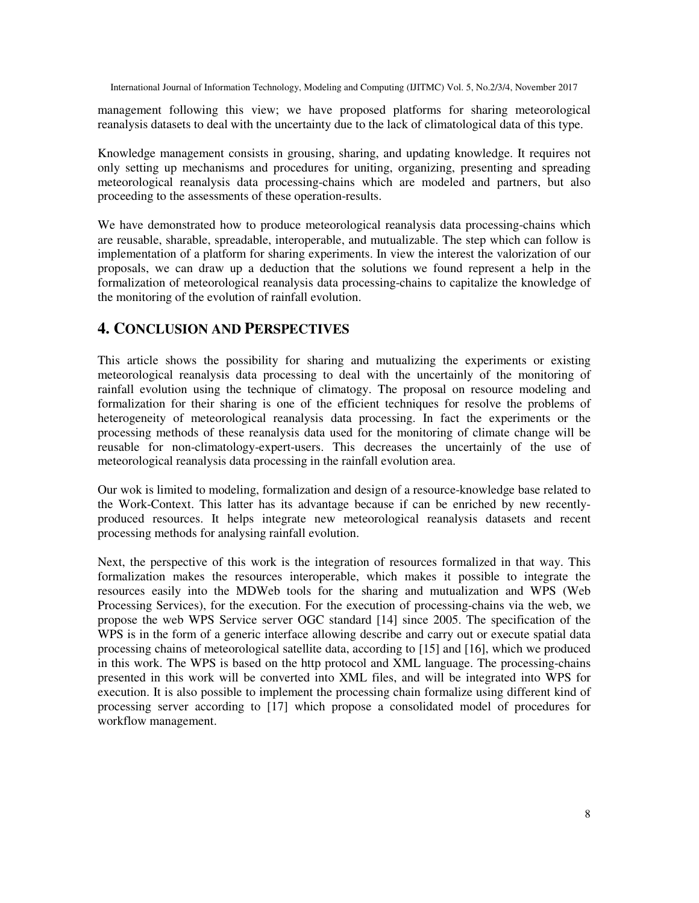management following this view; we have proposed platforms for sharing meteorological reanalysis datasets to deal with the uncertainty due to the lack of climatological data of this type.

Knowledge management consists in grousing, sharing, and updating knowledge. It requires not only setting up mechanisms and procedures for uniting, organizing, presenting and spreading meteorological reanalysis data processing-chains which are modeled and partners, but also proceeding to the assessments of these operation-results.

We have demonstrated how to produce meteorological reanalysis data processing-chains which are reusable, sharable, spreadable, interoperable, and mutualizable. The step which can follow is implementation of a platform for sharing experiments. In view the interest the valorization of our proposals, we can draw up a deduction that the solutions we found represent a help in the formalization of meteorological reanalysis data processing-chains to capitalize the knowledge of the monitoring of the evolution of rainfall evolution.

## **4. CONCLUSION AND PERSPECTIVES**

This article shows the possibility for sharing and mutualizing the experiments or existing meteorological reanalysis data processing to deal with the uncertainly of the monitoring of rainfall evolution using the technique of climatogy. The proposal on resource modeling and formalization for their sharing is one of the efficient techniques for resolve the problems of heterogeneity of meteorological reanalysis data processing. In fact the experiments or the processing methods of these reanalysis data used for the monitoring of climate change will be reusable for non-climatology-expert-users. This decreases the uncertainly of the use of meteorological reanalysis data processing in the rainfall evolution area.

Our wok is limited to modeling, formalization and design of a resource-knowledge base related to the Work-Context. This latter has its advantage because if can be enriched by new recentlyproduced resources. It helps integrate new meteorological reanalysis datasets and recent processing methods for analysing rainfall evolution.

Next, the perspective of this work is the integration of resources formalized in that way. This formalization makes the resources interoperable, which makes it possible to integrate the resources easily into the MDWeb tools for the sharing and mutualization and WPS (Web Processing Services), for the execution. For the execution of processing-chains via the web, we propose the web WPS Service server OGC standard [14] since 2005. The specification of the WPS is in the form of a generic interface allowing describe and carry out or execute spatial data processing chains of meteorological satellite data, according to [15] and [16], which we produced in this work. The WPS is based on the http protocol and XML language. The processing-chains presented in this work will be converted into XML files, and will be integrated into WPS for execution. It is also possible to implement the processing chain formalize using different kind of processing server according to [17] which propose a consolidated model of procedures for workflow management.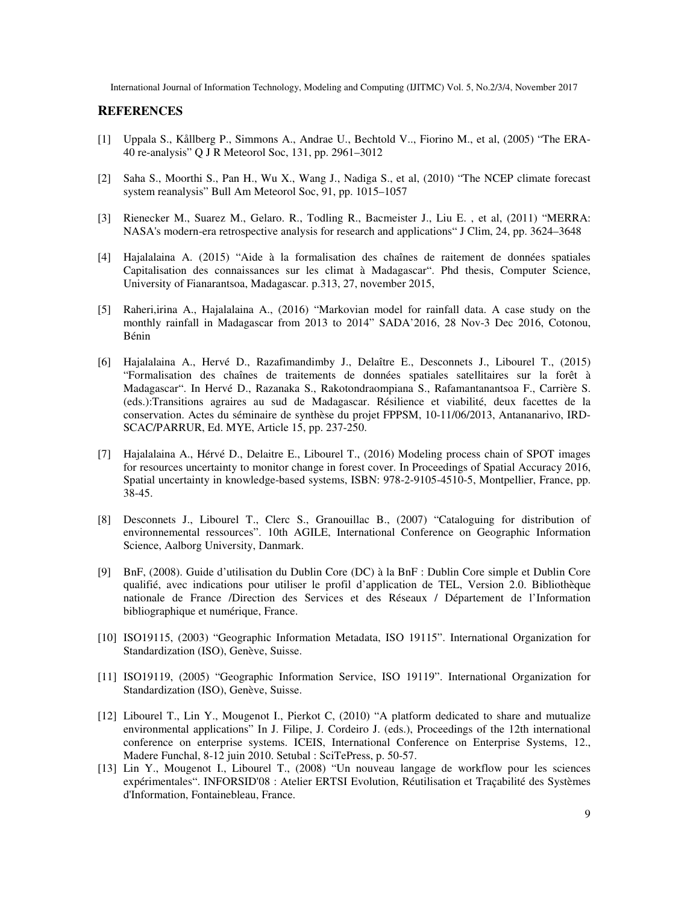#### **REFERENCES**

- [1] Uppala S., Kållberg P., Simmons A., Andrae U., Bechtold V.., Fiorino M., et al, (2005) "The ERA-40 re-analysis" Q J R Meteorol Soc, 131, pp. 2961–3012
- [2] Saha S., Moorthi S., Pan H., Wu X., Wang J., Nadiga S., et al, (2010) "The NCEP climate forecast system reanalysis" Bull Am Meteorol Soc, 91, pp. 1015–1057
- [3] Rienecker M., Suarez M., Gelaro. R., Todling R., Bacmeister J., Liu E. , et al, (2011) "MERRA: NASA's modern-era retrospective analysis for research and applications" J Clim, 24, pp. 3624–3648
- [4] Hajalalaina A. (2015) "Aide à la formalisation des chaînes de raitement de données spatiales Capitalisation des connaissances sur les climat à Madagascar". Phd thesis, Computer Science, University of Fianarantsoa, Madagascar. p.313, 27, november 2015,
- [5] Raheri,irina A., Hajalalaina A., (2016) "Markovian model for rainfall data. A case study on the monthly rainfall in Madagascar from 2013 to 2014" SADA'2016, 28 Nov-3 Dec 2016, Cotonou, Bénin
- [6] Hajalalaina A., Hervé D., Razafimandimby J., Delaître E., Desconnets J., Libourel T., (2015) "Formalisation des chaînes de traitements de données spatiales satellitaires sur la forêt à Madagascar". In Hervé D., Razanaka S., Rakotondraompiana S., Rafamantanantsoa F., Carrière S. (eds.):Transitions agraires au sud de Madagascar. Résilience et viabilité, deux facettes de la conservation. Actes du séminaire de synthèse du projet FPPSM, 10-11/06/2013, Antananarivo, IRD-SCAC/PARRUR, Ed. MYE, Article 15, pp. 237-250.
- [7] Hajalalaina A., Hérvé D., Delaitre E., Libourel T., (2016) Modeling process chain of SPOT images for resources uncertainty to monitor change in forest cover. In Proceedings of Spatial Accuracy 2016, Spatial uncertainty in knowledge-based systems, ISBN: 978-2-9105-4510-5, Montpellier, France, pp. 38-45.
- [8] Desconnets J., Libourel T., Clerc S., Granouillac B., (2007) "Cataloguing for distribution of environnemental ressources". 10th AGILE, International Conference on Geographic Information Science, Aalborg University, Danmark.
- [9] BnF, (2008). Guide d'utilisation du Dublin Core (DC) à la BnF : Dublin Core simple et Dublin Core qualifié, avec indications pour utiliser le profil d'application de TEL, Version 2.0. Bibliothèque nationale de France /Direction des Services et des Réseaux / Département de l'Information bibliographique et numérique, France.
- [10] ISO19115, (2003) "Geographic Information Metadata, ISO 19115". International Organization for Standardization (ISO), Genève, Suisse.
- [11] ISO19119, (2005) "Geographic Information Service, ISO 19119". International Organization for Standardization (ISO), Genève, Suisse.
- [12] Libourel T., Lin Y., Mougenot I., Pierkot C, (2010) "A platform dedicated to share and mutualize environmental applications" In J. Filipe, J. Cordeiro J. (eds.), Proceedings of the 12th international conference on enterprise systems. ICEIS, International Conference on Enterprise Systems, 12., Madere Funchal, 8-12 juin 2010. Setubal : SciTePress, p. 50-57.
- [13] Lin Y., Mougenot I., Libourel T., (2008) "Un nouveau langage de workflow pour les sciences expérimentales". INFORSID'08 : Atelier ERTSI Evolution, Réutilisation et Traçabilité des Systèmes d'Information, Fontainebleau, France.